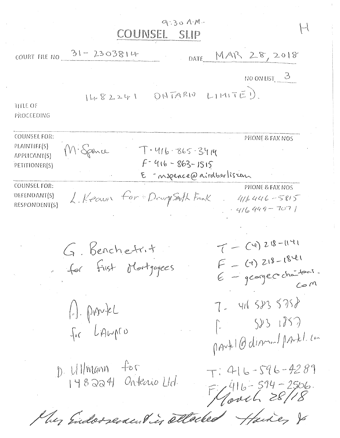$9:30A M...$ COUNSEL SLIP

 $H$ 

|                                                               | COURT FILE NO 31 - 2303814<br>DATE MAR 28, 2018                                                                                               |
|---------------------------------------------------------------|-----------------------------------------------------------------------------------------------------------------------------------------------|
|                                                               | $NO$ ON LIST $3$                                                                                                                              |
| <b>TITLE OF</b><br>PROCEEDING                                 | ONTARIO LIMITE).<br>1482241                                                                                                                   |
| COUNSEL FOR:<br>PLAINTIFF(S)<br>APPLICANT(S)<br>PETITIONER(S) | PHONE & FAX NOS<br>M. Spence<br>$-1 - 416 - 865 - 3414$<br>$f - 416 - 863 - 1515$<br>E mspence@airdberliscom                                  |
| COUNSEL FOR:<br>DEFENDANT(S)<br>RESPONDENT(S)                 | PHONE & FAX NOS<br>L. Keown for Dougsmith Frank<br>$41646 - 5815$<br>$-416449 - 7071$                                                         |
|                                                               | $T-(4)218-1141$<br>G. Benchetrit<br>for first Mortgagees<br>$F - (1)218 - 1841$<br>E - george chantour.<br>$7 - 4165835758$<br>$(-)$ . provée |
|                                                               | 2831857<br>$f_{\nu}$ $L$ Awpro<br>portl@dinner/portl.com                                                                                      |
|                                                               | D. Ullmann for<br>148224 Ontenio Ltd.<br>$T: 416 - 596 - 4289$<br>$7416 - 594 - 2506.$<br>May Endorsement in attacked Hardey &                |

ez zuelb realur er l / /